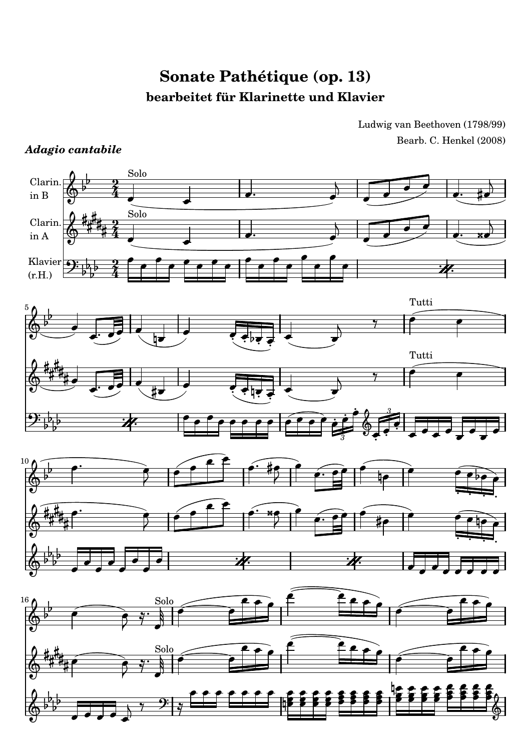## **bearbeitet für Klarinette und Klavier Sonate Pathétique (op. 13)**

Bearb. C. Henkel (2008) Ludwig van Beethoven (1798/99)



## *Adagio cantabile*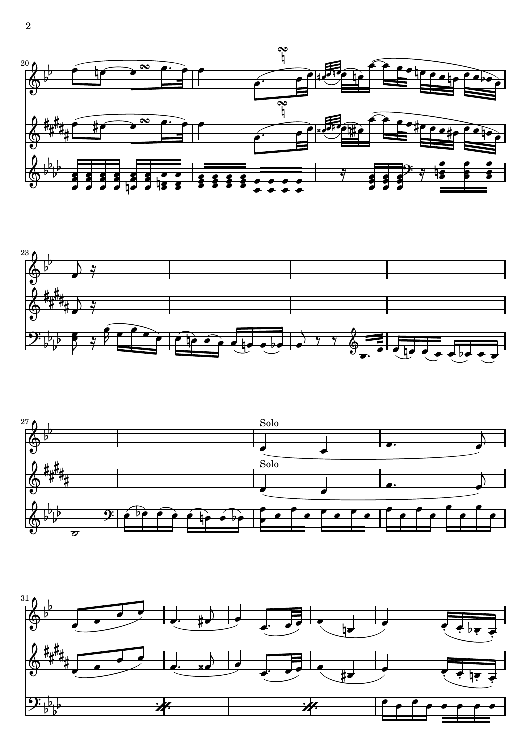





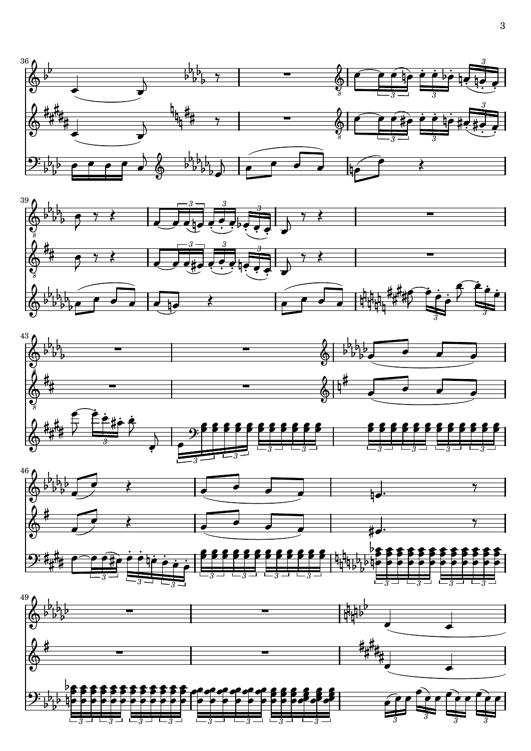







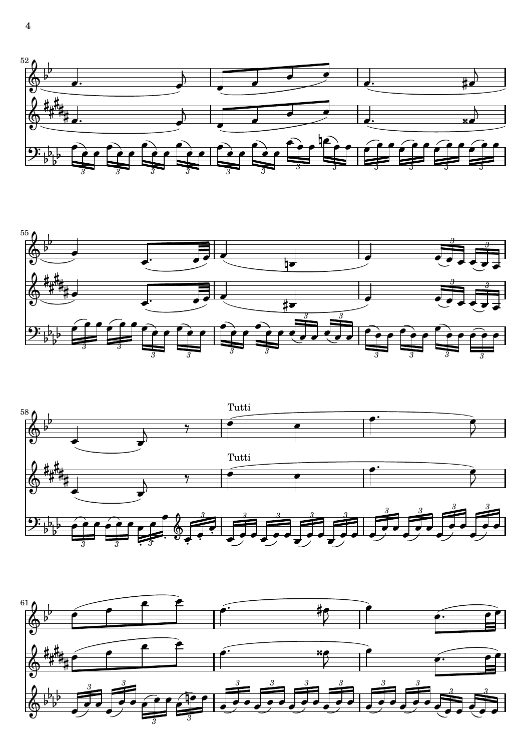